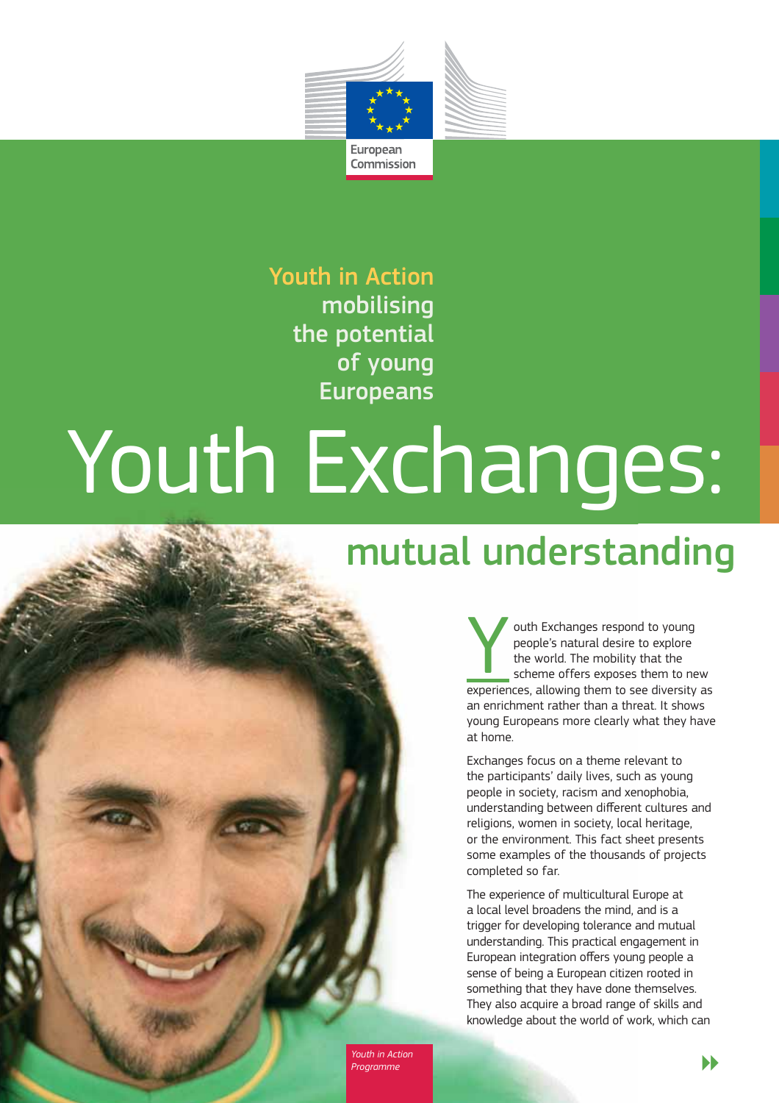

# Youth in Action mobilising the potential of young Europeans

# Youth Exchanges:

# mutual understanding

outh Exchanges respond to young<br>
people's natural desire to explore<br>
the world. The mobility that the<br>
scheme offers exposes them to new<br>
experiences<br>
allowing them to see diversity as people's natural desire to explore the world. The mobility that the experiences, allowing them to see diversity as an enrichment rather than a threat. It shows young Europeans more clearly what they have at home.

Exchanges focus on a theme relevant to the participants' daily lives, such as young people in society, racism and xenophobia, understanding between different cultures and religions, women in society, local heritage, or the environment. This fact sheet presents some examples of the thousands of projects completed so far.

The experience of multicultural Europe at a local level broadens the mind, and is a trigger for developing tolerance and mutual understanding. This practical engagement in European integration offers young people a sense of being a European citizen rooted in something that they have done themselves. They also acquire a broad range of skills and knowledge about the world of work, which can

*Youth in Action*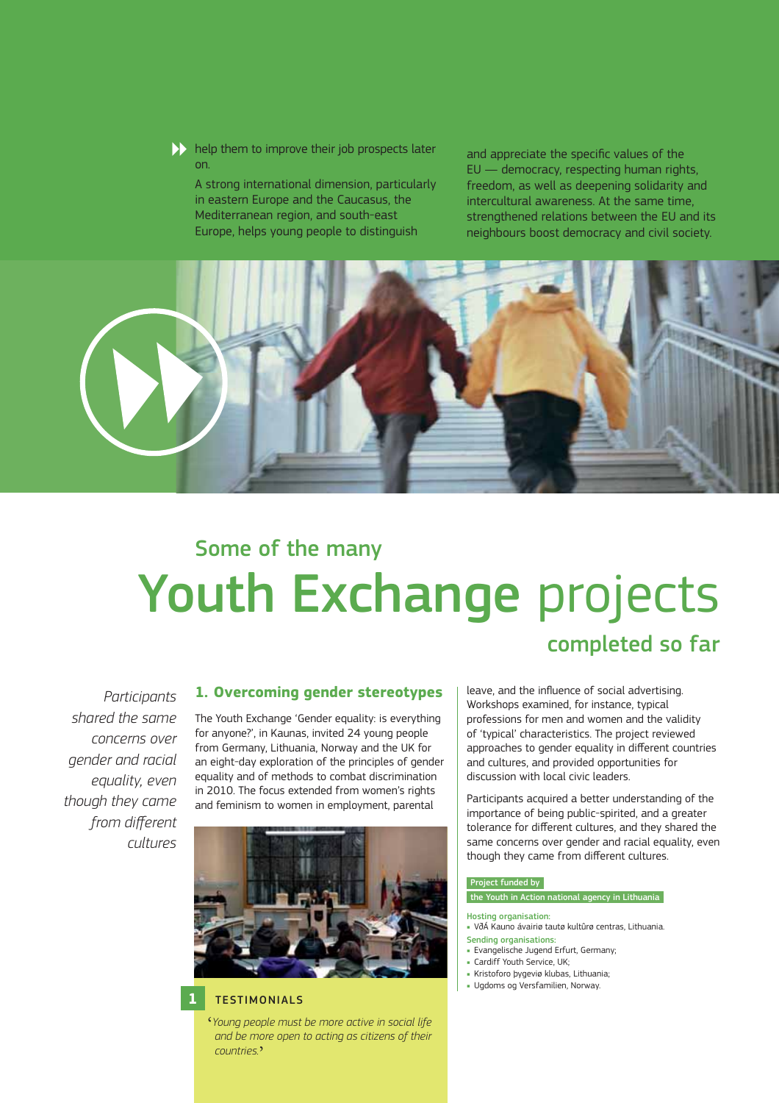$\blacktriangleright$  help them to improve their job prospects later on.

A strong international dimension, particularly in eastern Europe and the Caucasus, the Mediterranean region, and south-east Europe, helps young people to distinguish

and appreciate the specific values of the EU — democracy, respecting human rights, freedom, as well as deepening solidarity and intercultural awareness. At the same time, strengthened relations between the EU and its neighbours boost democracy and civil society.



# Youth Exchange projects Some of the many

# *Participants shared the same concerns over gender and racial equality, even though they came*  from different *cultures*

#### **1. Overcoming gender stereotypes**

The Youth Exchange 'Gender equality: is everything for anyone?', in Kaunas, invited 24 young people from Germany, Lithuania, Norway and the UK for an eight-day exploration of the principles of gender equality and of methods to combat discrimination in 2010. The focus extended from women's rights and feminism to women in employment, parental



# **1** TESTIMONIALS

' *Young people must be more active in social life and be more open to acting as citizens of their countries.*'

leave, and the influence of social advertising. Workshops examined, for instance, typical professions for men and women and the validity of 'typical' characteristics. The project reviewed approaches to gender equality in different countries and cultures, and provided opportunities for discussion with local civic leaders.

completed so far

Participants acquired a better understanding of the importance of being public-spirited, and a greater tolerance for different cultures, and they shared the same concerns over gender and racial equality, even though they came from different cultures.

#### Project funded by

# the Youth in Action national agency in Lithuania

- Hosting organisation: VðÁ Kauno ávairiø tautø kultûrø centras, Lithuania.
- Sending organisations:
- Evangelische Jugend Erfurt, Germany;
- Cardiff Youth Service, UK;
- Kristoforo þygeviø klubas, Lithuania;
- Ugdoms og Versfamilien, Norway.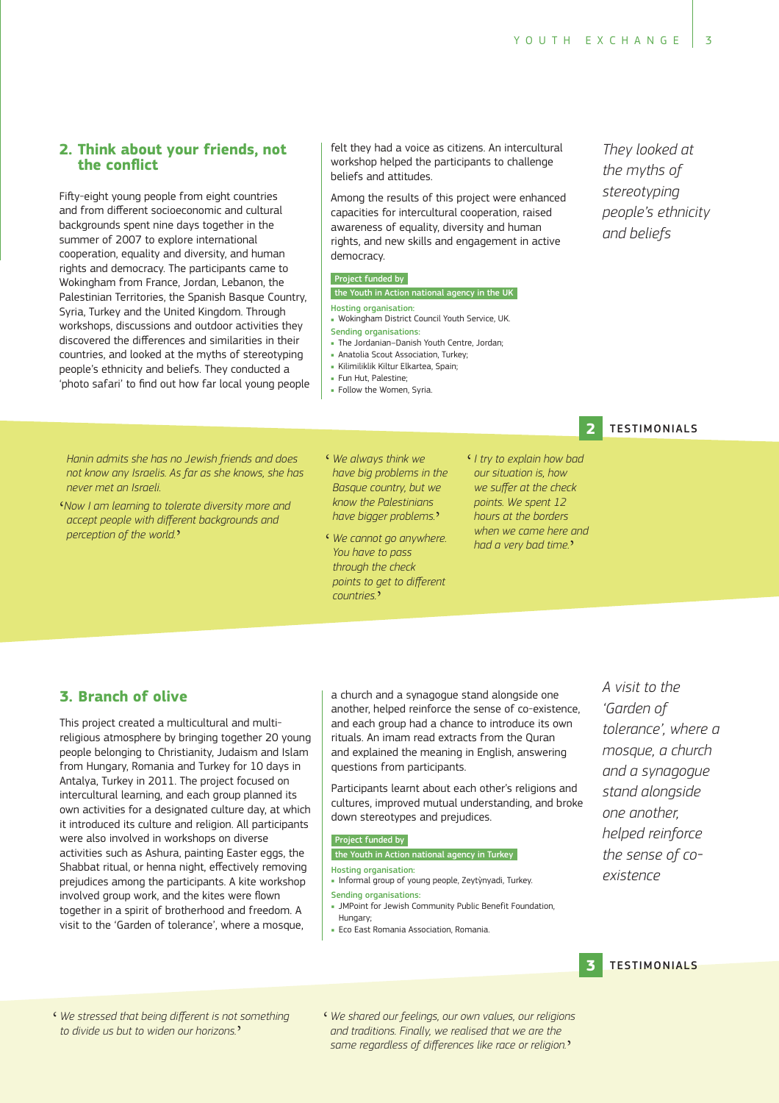# **2. Think about your friends, not the conflict**

Fifty-eight young people from eight countries and from different socioeconomic and cultural backgrounds spent nine days together in the summer of 2007 to explore international cooperation, equality and diversity, and human rights and democracy. The participants came to Wokingham from France, Jordan, Lebanon, the Palestinian Territories, the Spanish Basque Country, Syria, Turkey and the United Kingdom. Through workshops, discussions and outdoor activities they discovered the differences and similarities in their countries, and looked at the myths of stereotyping people's ethnicity and beliefs. They conducted a 'photo safari' to find out how far local young people felt they had a voice as citizens. An intercultural workshop helped the participants to challenge beliefs and attitudes.

Among the results of this project were enhanced capacities for intercultural cooperation, raised awareness of equality, diversity and human rights, and new skills and engagement in active democracy.

#### Project funded by

# the Youth in Action national agency in the UK

- Hosting organisation: Wokingham District Council Youth Service, UK.
- Sending organisations: The Jordanian–Danish Youth Centre, Jordan;
- Anatolia Scout Association, Turkey;
- Kilimiliklik Kiltur Elkartea, Spain;
- Fun Hut, Palestine;
- Follow the Women, Syria.
- 

**2**

*Hanin admits she has no Jewish friends and does*  not know any Israelis. As far as she knows, she has *never met an Israeli.*

- ' *Now I am learning to tolerate diversity more and*  accept people with different backgrounds and *perception of the world.*'
- **We always think we** *have big problems in the Basque country, but we*  know the Palestinians *have bigger problems.*'
- ' *We cannot go anywhere. You have to pass*  through the check points to get to different *countries.*'
- ' *I try to explain how bad our situation is, how*  we suffer at the check *points. We spent 12 hours at the borders when we came here and had a very bad time.*'

# **3. Branch of olive**

This project created a multicultural and multireligious atmosphere by bringing together 20 young people belonging to Christianity, Judaism and Islam from Hungary, Romania and Turkey for 10 days in Antalya, Turkey in 2011. The project focused on intercultural learning, and each group planned its own activities for a designated culture day, at which it introduced its culture and religion. All participants were also involved in workshops on diverse activities such as Ashura, painting Easter eggs, the Shabbat ritual, or henna night, effectively removing prejudices among the participants. A kite workshop involved group work, and the kites were flown together in a spirit of brotherhood and freedom. A visit to the 'Garden of tolerance', where a mosque,

a church and a synagogue stand alongside one another, helped reinforce the sense of co-existence, and each group had a chance to introduce its own rituals. An imam read extracts from the Quran and explained the meaning in English, answering questions from participants.

Participants learnt about each other's religions and cultures, improved mutual understanding, and broke down stereotypes and prejudices.

#### Project funded by

# the Youth in Action national agency in Turkey

- Hosting organisation:
- Informal group of young people, Zeytỳnyadi, Turkey. Sending organisations:
- JMPoint for Jewish Community Public Benefit Foundation, Hungary;
- **Eco East Romania Association, Romania.**

*A visit to the 'Garden of tolerance', where a mosque, a church and a synagogue stand alongside one another, helped reinforce the sense of coexistence*

#### **3 TESTIMONIALS**

- $\epsilon$  We stressed that being different is not something *to divide us but to widen our horizons.*'
- ' *We shared our feelings, our own values, our religions and traditions. Finally, we realised that we are the*  same regardless of differences like race or religion.

They looked at *the myths of stereotyping people's ethnicity and beliefs*

**TESTIMONIALS**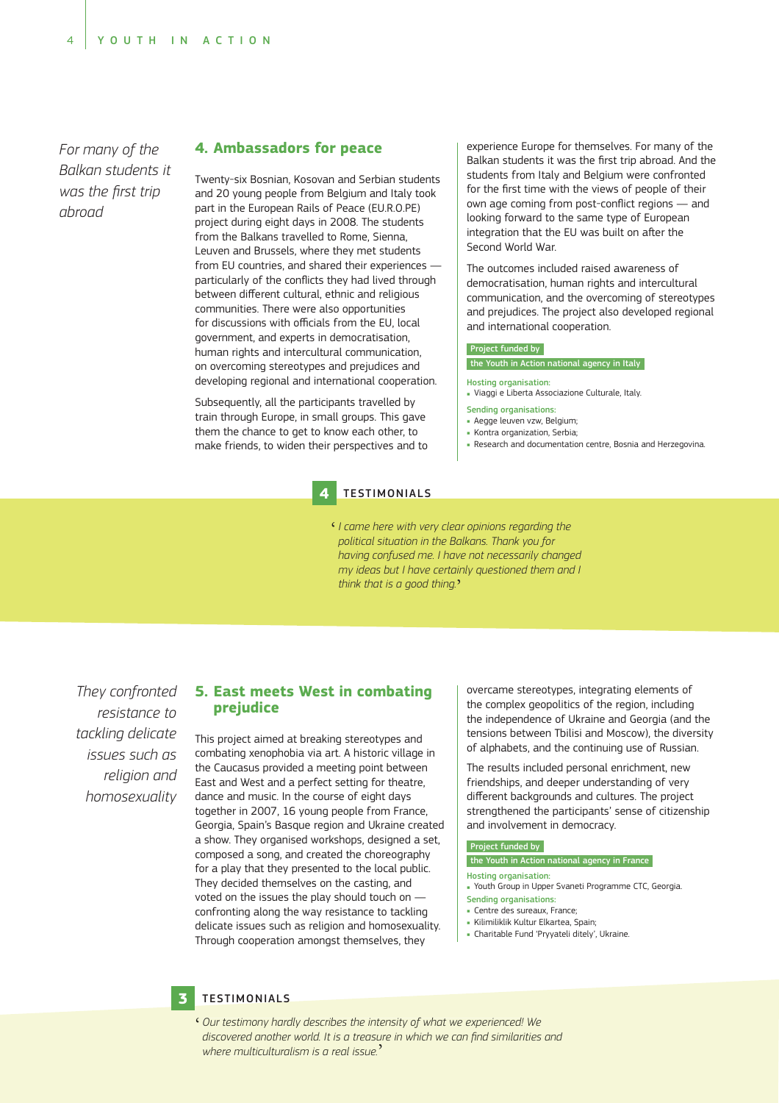*For many of the*  Balkan students it was the first trip *abroad*

# **4. Ambassadors for peace**

Twenty-six Bosnian, Kosovan and Serbian students and 20 young people from Belgium and Italy took part in the European Rails of Peace (EU.R.O.PE) project during eight days in 2008. The students from the Balkans travelled to Rome, Sienna, Leuven and Brussels, where they met students from EU countries, and shared their experiences particularly of the conflicts they had lived through between different cultural, ethnic and religious communities. There were also opportunities for discussions with officials from the EU, local government, and experts in democratisation, human rights and intercultural communication, on overcoming stereotypes and prejudices and developing regional and international cooperation.

Subsequently, all the participants travelled by train through Europe, in small groups. This gave them the chance to get to know each other, to make friends, to widen their perspectives and to experience Europe for themselves. For many of the Balkan students it was the first trip abroad. And the students from Italy and Belgium were confronted for the first time with the views of people of their own age coming from post-conflict regions - and looking forward to the same type of European integration that the EU was built on after the Second World War.

The outcomes included raised awareness of democratisation, human rights and intercultural communication, and the overcoming of stereotypes and prejudices. The project also developed regional and international cooperation.

#### Project funded by

#### the Youth in Action national agency in Italy

#### Hosting organisation:

- Viaggi e Liberta Associazione Culturale, Italy.
- Sending organisations:
	- **Aegge leuven vzw. Belgium:**
	- **Kontra organization, Serbia**;
- Research and documentation centre, Bosnia and Herzegovina.

#### **4** TESTIMONIALS

' *I came here with very clear opinions regarding the*  political situation in the Balkans. Thank you for *having confused me. I have not necessarily changed my ideas but I have certainly questioned them and I*  think that is a good thing.'

*They confronted resistance to*  tackling delicate *issues such as religion and homosexuality*

## **5. East meets West in combating prejudice**

This project aimed at breaking stereotypes and combating xenophobia via art. A historic village in the Caucasus provided a meeting point between East and West and a perfect setting for theatre, dance and music. In the course of eight days together in 2007, 16 young people from France, Georgia, Spain's Basque region and Ukraine created a show. They organised workshops, designed a set, composed a song, and created the choreography for a play that they presented to the local public. They decided themselves on the casting, and voted on the issues the play should touch on confronting along the way resistance to tackling delicate issues such as religion and homosexuality. Through cooperation amongst themselves, they

overcame stereotypes, integrating elements of the complex geopolitics of the region, including the independence of Ukraine and Georgia (and the tensions between Tbilisi and Moscow), the diversity of alphabets, and the continuing use of Russian.

The results included personal enrichment, new friendships, and deeper understanding of very different backgrounds and cultures. The project strengthened the participants' sense of citizenship and involvement in democracy.

#### Project funded by

#### the Youth in Action national agency in France

- Hosting organisation:
- Youth Group in Upper Svaneti Programme CTC, Georgia. Sending organisations:
- Centre des sureaux, France;
- Kilimiliklik Kultur Elkartea, Spain;
- Charitable Fund 'Pryyateli ditely', Ukraine.

#### **3** TESTIMONIALS

' *Our testimony hardly describes the intensity of what we experienced! We*  ' *We* discovered another world. It is a treasure in which we can find similarities and *where multiculturalism is a real issue.*'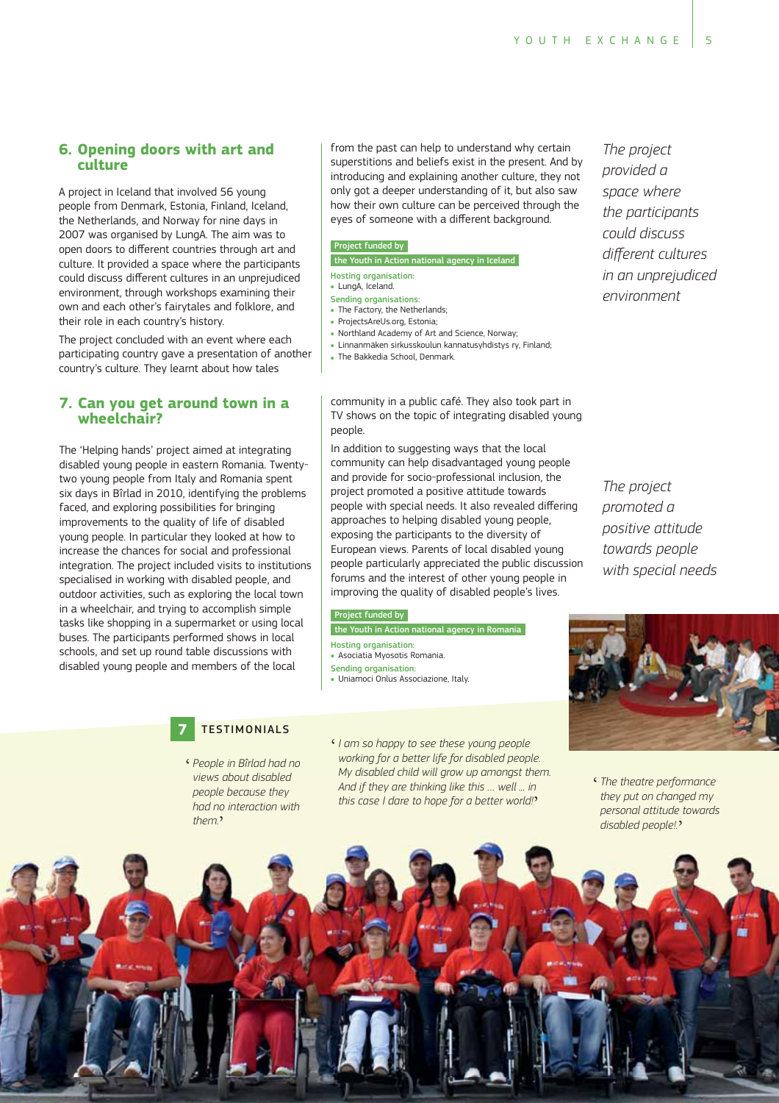# **6. Opening doors with art and culture**

A project in Iceland that involved 56 young people from Denmark, Estonia, Finland, Iceland, the Netherlands, and Norway for nine days in 2007 was organised by LungA. The aim was to open doors to different countries through art and culture. It provided a space where the participants could discuss different cultures in an unprejudiced environment, through workshops examining their own and each other's fairytales and folklore, and their role in each country's history.

The project concluded with an event where each participating country gave a presentation of another country's culture. They learnt about how tales

## **7. Can you get around town in a wheelchair?**

The 'Helping hands' project aimed at integrating disabled young people in eastern Romania. Twentytwo young people from Italy and Romania spent six days in Bîrlad in 2010, identifying the problems faced, and exploring possibilities for bringing improvements to the quality of life of disabled young people. In particular they looked at how to increase the chances for social and professional integration. The project included visits to institutions specialised in working with disabled people, and outdoor activities, such as exploring the local town in a wheelchair, and trying to accomplish simple tasks like shopping in a supermarket or using local buses. The participants performed shows in local schools, and set up round table discussions with disabled young people and members of the local

from the past can help to understand why certain superstitions and beliefs exist in the present. And by introducing and explaining another culture, they not only got a deeper understanding of it, but also saw how their own culture can be perceived through the eyes of someone with a different background.

#### Project funded by

the Youth in Action national agency in Iceland

Hosting organisation: - LungA, Iceland.

#### Sending organisations:

- The Factory, the Netherlands:
- ProjectsAreUs.org, Estonia;
- Northland Academy of Art and Science, Norway;
- Linnanmäken sirkusskoulun kannatusyhdistys ry, Finland;
- **The Bakkedia School, Denmark.** 
	-

*The project provided a space where the participants could discuss*  different cultures *in an unprejudiced environment*

TV shows on the topic of integrating disabled young people. In addition to suggesting ways that the local

community in a public café. They also took part in

community can help disadvantaged young people and provide for socio-professional inclusion, the project promoted a positive attitude towards people with special needs. It also revealed differing approaches to helping disabled young people, exposing the participants to the diversity of European views. Parents of local disabled young people particularly appreciated the public discussion forums and the interest of other young people in improving the quality of disabled people's lives.

#### Project funded by

the Youth in Action national agency in Romania

- Hosting organisation:
- Asociatia Myosotis Romania.
- Sending organisation:
- Uniamoci Onlus Associazione, Italy.
- 

*The project promoted a positive attitude towards people with special needs*

# **7** TESTIMONIALS

- ' *People in Bîrlad had no views about disabled people because they had no interaction with them.*'
- ' *I am so happy to see these young people*  working for a better life for disabled people. *My disabled child will grow up amongst them.*  And if they are thinking like this ... well ... in *this case I dare to hope for a better world!*'
- ' *The theatre performance they put on changed my personal attitude towards disabled people!.*'

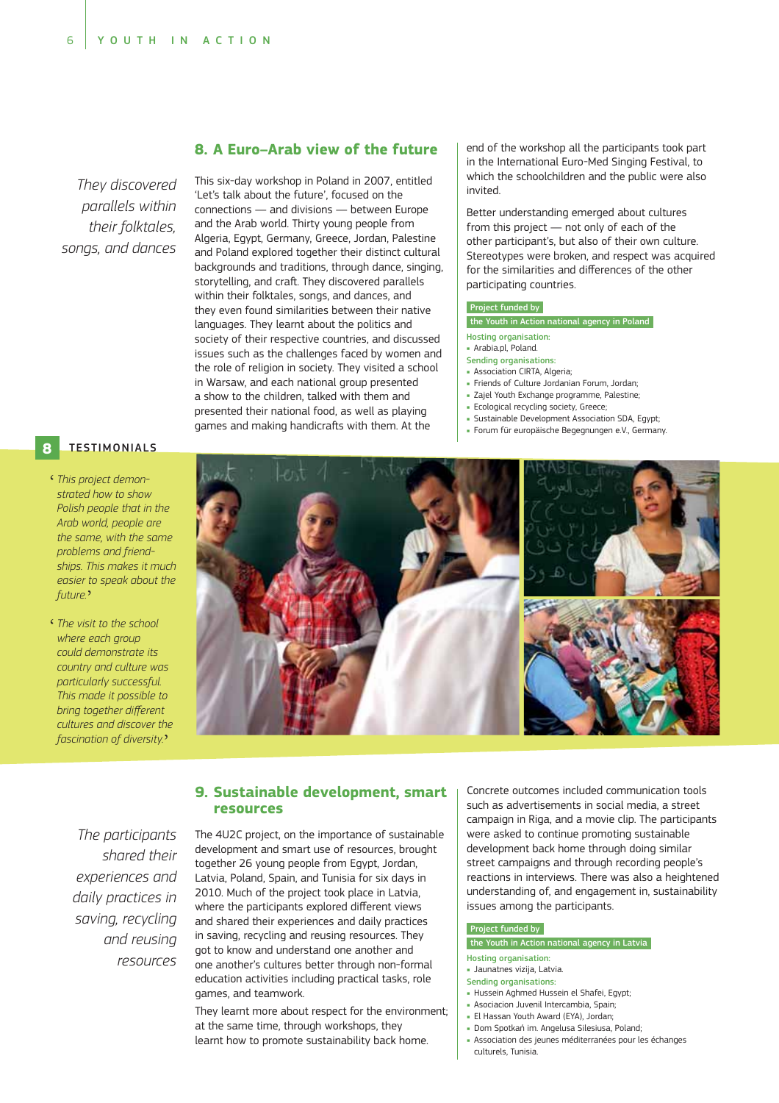*They discovered parallels within songs, and dances*

# **8. A Euro–Arab view of the future**

This six-day workshop in Poland in 2007, entitled 'Let's talk about the future', focused on the connections — and divisions — between Europe and the Arab world. Thirty young people from Algeria, Egypt, Germany, Greece, Jordan, Palestine and Poland explored together their distinct cultural backgrounds and traditions, through dance, singing, storytelling, and craft. They discovered parallels within their folktales, songs, and dances, and they even found similarities between their native languages. They learnt about the politics and society of their respective countries, and discussed issues such as the challenges faced by women and the role of religion in society. They visited a school in Warsaw, and each national group presented a show to the children, talked with them and presented their national food, as well as playing games and making handicrafts with them. At the

end of the workshop all the participants took part in the International Euro-Med Singing Festival, to which the schoolchildren and the public were also invited.

Better understanding emerged about cultures from this project — not only of each of the other participant's, but also of their own culture. Stereotypes were broken, and respect was acquired for the similarities and differences of the other participating countries.

#### Project funded by

the Youth in Action national agency in Poland

- Hosting organisation:
- Arabia.pl, Poland.
- Sending organisations: **Association CIRTA, Algeria;**
- Friends of Culture Jordanian Forum, Jordan;
- Zajel Youth Exchange programme, Palestine;
- **Ecological recycling society, Greece;**
- Sustainable Development Association SDA, Egypt;
- Forum für europäische Begegnungen e.V., Germany.

#### **8 TESTIMONIALS**

- ' *This project demonstrated how to show Polish people that in the Arab world, people are the same, with the same problems and friend* ships. This makes it much easier to speak about the *future.*'
- ' *The visit to the school where each group could demonstrate its country and culture was particularly successful. This made it possible to*  bring together different *cultures and discover the fascination of diversity.*'



# **9. Sustainable development, smart resources**

*The participants shared their experiences and daily practices in saving, recycling and reusing resources* The 4U2C project, on the importance of sustainable development and smart use of resources, brought together 26 young people from Egypt, Jordan, Latvia, Poland, Spain, and Tunisia for six days in 2010. Much of the project took place in Latvia, where the participants explored different views and shared their experiences and daily practices in saving, recycling and reusing resources. They got to know and understand one another and one another's cultures better through non-formal education activities including practical tasks, role games, and teamwork.

They learnt more about respect for the environment; at the same time, through workshops, they learnt how to promote sustainability back home.

Concrete outcomes included communication tools such as advertisements in social media, a street campaign in Riga, and a movie clip. The participants were asked to continue promoting sustainable development back home through doing similar street campaigns and through recording people's reactions in interviews. There was also a heightened understanding of, and engagement in, sustainability issues among the participants.

#### Project funded by

# the Youth in Action national agency in Latvia

- Hosting organisation: Jaunatnes vizija, Latvia.
- 
- Sending organisations:
- Hussein Aghmed Hussein el Shafei, Egypt; Asociacion Juvenil Intercambia, Spain;
- El Hassan Youth Award (EYA), Jordan;
- · Dom Spotkań im. Angelusa Silesiusa, Poland;
- Association des jeunes méditerranées pour les échanges culturels, Tunisia.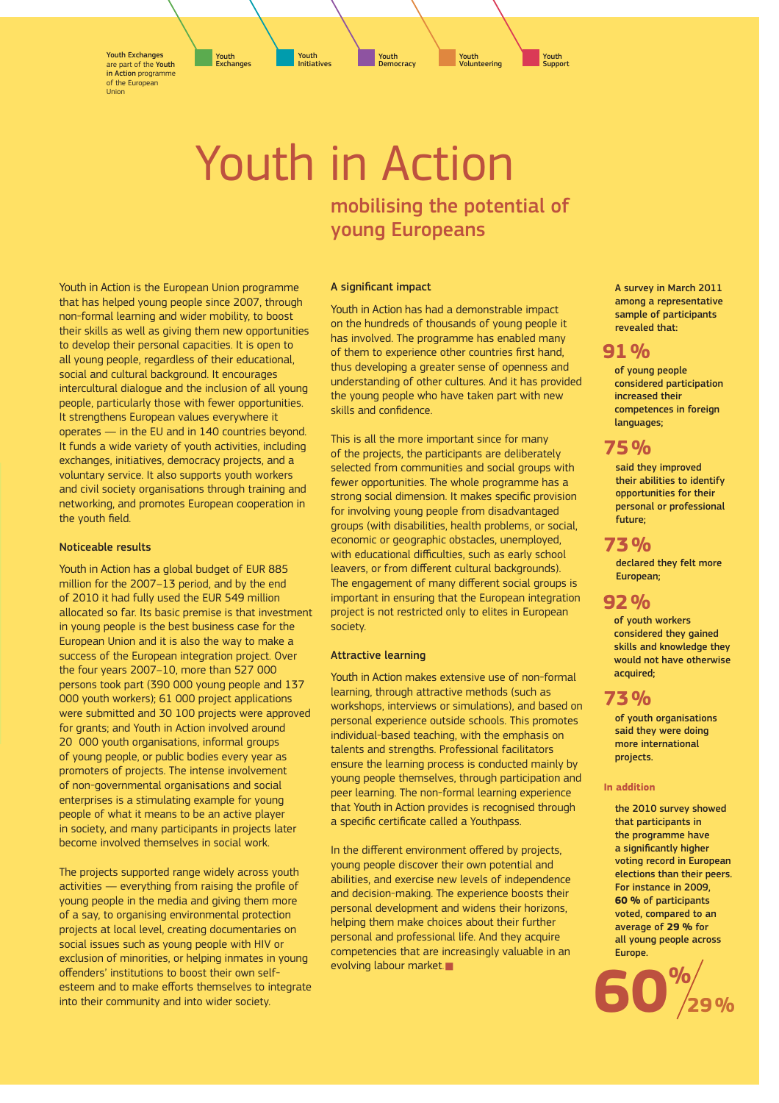Youth Exchanges are part of the Youth in Action programme of the European Union

> Youth in Action mobilising the potential of young Europeans

Y<mark>outh</mark><br>Initiatives

Initiatives Youth Exchanges

#### A significant impact

Youth in Action is the European Union programme that has helped young people since 2007, through non-formal learning and wider mobility, to boost their skills as well as giving them new opportunities to develop their personal capacities. It is open to all young people, regardless of their educational, social and cultural background. It encourages intercultural dialogue and the inclusion of all young people, particularly those with fewer opportunities. It strengthens European values everywhere it operates — in the EU and in 140 countries beyond. It funds a wide variety of youth activities, including exchanges, initiatives, democracy projects, and a voluntary service. It also supports youth workers and civil society organisations through training and networking, and promotes European cooperation in

#### Noticeable results

the youth field.

Youth in Action has a global budget of EUR 885 million for the 2007–13 period, and by the end of 2010 it had fully used the EUR 549 million allocated so far. Its basic premise is that investment in young people is the best business case for the European Union and it is also the way to make a success of the European integration project. Over the four years 2007–10, more than 527 000 persons took part (390 000 young people and 137 000 youth workers); 61 000 project applications were submitted and 30 100 projects were approved for grants; and Youth in Action involved around 20 000 youth organisations, informal groups of young people, or public bodies every year as promoters of projects. The intense involvement of non-governmental organisations and social enterprises is a stimulating example for young people of what it means to be an active player in society, and many participants in projects later become involved themselves in social work.

The projects supported range widely across youth activities - everything from raising the profile of young people in the media and giving them more of a say, to organising environmental protection projects at local level, creating documentaries on social issues such as young people with HIV or exclusion of minorities, or helping inmates in young offenders' institutions to boost their own selfesteem and to make efforts themselves to integrate into their community and into wider society.

Youth in Action has had a demonstrable impact on the hundreds of thousands of young people it has involved. The programme has enabled many of them to experience other countries first hand, thus developing a greater sense of openness and understanding of other cultures. And it has provided the young people who have taken part with new skills and confidence.

Youth Volunteering

This is all the more important since for many of the projects, the participants are deliberately selected from communities and social groups with fewer opportunities. The whole programme has a strong social dimension. It makes specific provision for involving young people from disadvantaged groups (with disabilities, health problems, or social, economic or geographic obstacles, unemployed, with educational difficulties, such as early school leavers, or from different cultural backgrounds). The engagement of many different social groups is important in ensuring that the European integration project is not restricted only to elites in European society.

#### Attractive learning

Youth in Action makes extensive use of non-formal learning, through attractive methods (such as workshops, interviews or simulations), and based on personal experience outside schools. This promotes individual-based teaching, with the emphasis on talents and strengths. Professional facilitators ensure the learning process is conducted mainly by young people themselves, through participation and peer learning. The non-formal learning experience that Youth in Action provides is recognised through a specific certificate called a Youthpass.

In the different environment offered by projects, young people discover their own potential and abilities, and exercise new levels of independence and decision-making. The experience boosts their personal development and widens their horizons, helping them make choices about their further personal and professional life. And they acquire competencies that are increasingly valuable in an evolving labour market.

A survey in March 2011 among a representative sample of participants revealed that:

# **91 %**

Youth **Support** 

> of young people considered participation increased their competences in foreign languages;

# **75 %**

said they improved their abilities to identify opportunities for their personal or professional future;

# **73 %**

declared they felt more European;

# **92 %**

of youth workers considered they gained skills and knowledge they would not have otherwise acquired;

# **73 %**

of youth organisations said they were doing more international projects.

#### **In addition**

the 2010 survey showed that participants in the programme have a significantly higher voting record in European elections than their peers. For instance in 2009, **60 %** of participants voted, compared to an average of **29 %** for all young people across Europe.



Youth **Democracy**